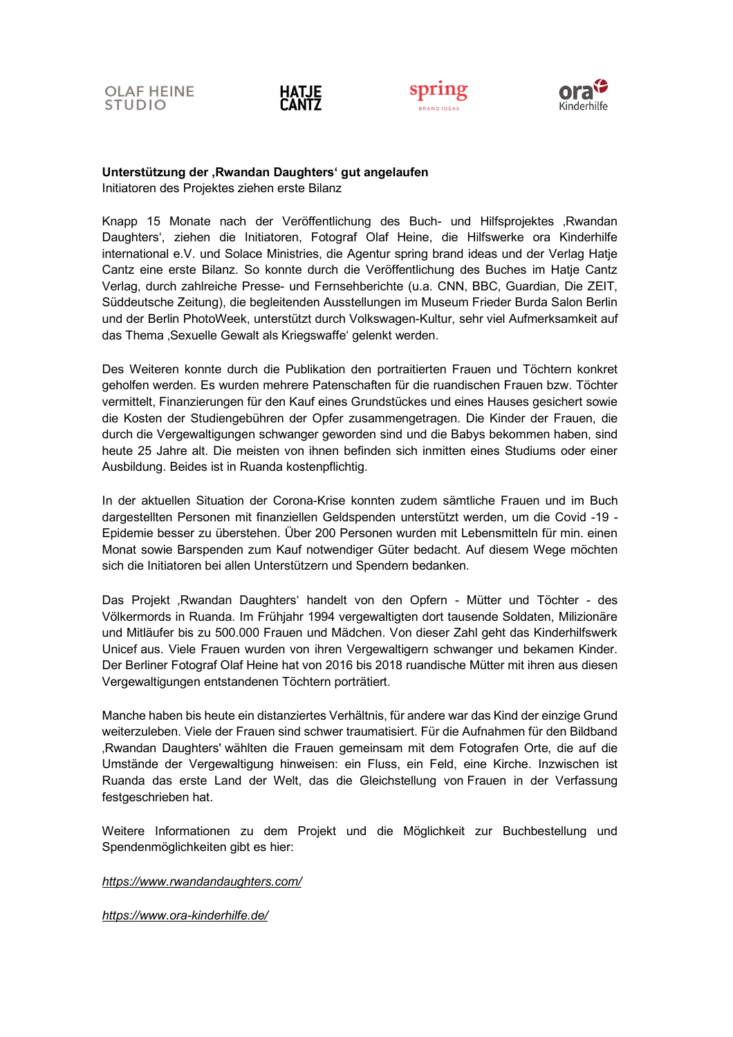







## **Unterstützung der 'Rwandan Daughters' gut angelaufen**  Initiatoren des Projektes ziehen erste Bilanz

Knapp 15 Monate nach der Veröffentlichung des Buch- und Hilfsprojektes "Rwandan Daughters', ziehen die Initiatoren, Fotograf Olaf Heine, die Hilfswerke ora Kinderhilfe international e.V. und Solace Ministries, die Agentur spring brand ideas und der Verlag Hatje Cantz eine erste Bilanz. So konnte durch die Veröffentlichung des Buches im Hatje Cantz Verlag, durch zahlreiche Presse- und Fernsehberichte (u.a. CNN, BBC, Guardian, Die ZEIT, Süddeutsche Zeitung), die begleitenden Ausstellungen im Museum Frieder Burda Salon Berlin und der Berlin PhotoWeek, unterstützt durch Volkswagen-Kultur, sehr viel Aufmerksamkeit auf das Thema , Sexuelle Gewalt als Kriegswaffe' gelenkt werden.

Des Weiteren konnte durch die Publikation den portraitierten Frauen und Töchtern konkret geholfen werden. Es wurden mehrere Patenschaften für die ruandischen Frauen bzw. Töchter vermittelt, Finanzierungen für den Kauf eines Grundstückes und eines Hauses gesichert sowie die Kosten der Studiengebühren der Opfer zusammengetragen. Die Kinder der Frauen, die durch die Vergewaltigungen schwanger geworden sind und die Babys bekommen haben, sind heute 25 Jahre alt. Die meisten von ihnen befinden sich inmitten eines Studiums oder einer Ausbildung. Beides ist in Ruanda kostenpflichtig.

In der aktuellen Situation der Corona-Krise konnten zudem sämtliche Frauen und im Buch dargestellten Personen mit finanziellen Geldspenden unterstützt werden, um die Covid -19 - Epidemie besser zu überstehen. Über 200 Personen wurden mit Lebensmitteln für min. einen Monat sowie Barspenden zum Kauf notwendiger Güter bedacht. Auf diesem Wege möchten sich die Initiatoren bei allen Unterstützern und Spendern bedanken.

Das Projekt , Rwandan Daughters' handelt von den Opfern - Mütter und Töchter - des Völkermords in Ruanda. Im Frühjahr 1994 vergewaltigten dort tausende Soldaten, Milizionäre und Mitläufer bis zu 500.000 Frauen und Mädchen. Von dieser Zahl geht das Kinderhilfswerk Unicef aus. Viele Frauen wurden von ihren Vergewaltigern schwanger und bekamen Kinder. Der Berliner Fotograf Olaf Heine hat von 2016 bis 2018 ruandische Mütter mit ihren aus diesen Vergewaltigungen entstandenen Töchtern porträtiert.

Manche haben bis heute ein distanziertes Verhältnis, für andere war das Kind der einzige Grund weiterzuleben. Viele der Frauen sind schwer traumatisiert. Für die Aufnahmen für den Bildband 'Rwandan Daughters' wählten die Frauen gemeinsam mit dem Fotografen Orte, die auf die Umstände der Vergewaltigung hinweisen: ein Fluss, ein Feld, eine Kirche. Inzwischen ist Ruanda das erste Land der Welt, das die Gleichstellung von Frauen in der Verfassung festgeschrieben hat.

Weitere Informationen zu dem Projekt und die Möglichkeit zur Buchbestellung und Spendenmöglichkeiten gibt es hier:

*https://www.rwandandaughters.com/*

*https://www.ora-kinderhilfe.de/*